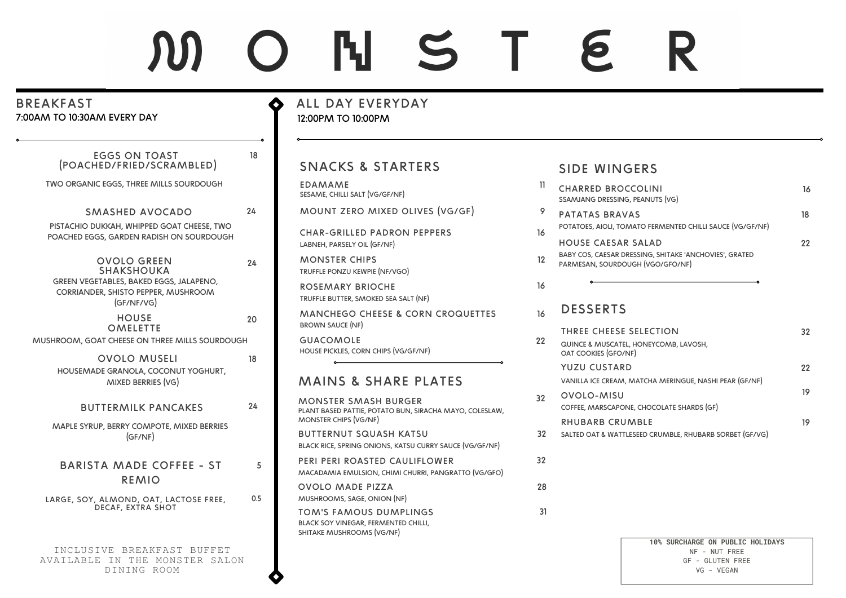# M O N S T E R

| <b>BREAKFAST</b><br>7:00AM TO 10:30AM EVERY DAY                                              |     | ALL DAY EVERYDAY<br>12:00PM TO 10:00PM                                                             |                 |                                                                                            |    |
|----------------------------------------------------------------------------------------------|-----|----------------------------------------------------------------------------------------------------|-----------------|--------------------------------------------------------------------------------------------|----|
| <b>EGGS ON TOAST</b><br>(POACHED/FRIED/SCRAMBLED)                                            | 18  | <b>SNACKS &amp; STARTERS</b>                                                                       |                 | <b>SIDE WINGERS</b>                                                                        |    |
| TWO ORGANIC EGGS, THREE MILLS SOURDOUGH                                                      |     | <b>EDAMAME</b><br>SESAME, CHILLI SALT (VG/GF/NF)                                                   | 11.             | <b>CHARRED BROCCOLINI</b><br>SSAMJANG DRESSING, PEANUTS (VG)                               | 16 |
| SMASHED AVOCADO                                                                              | 24  | MOUNT ZERO MIXED OLIVES (VG/GF)                                                                    | 9               | PATATAS BRAVAS                                                                             | 18 |
| PISTACHIO DUKKAH, WHIPPED GOAT CHEESE, TWO<br>POACHED EGGS, GARDEN RADISH ON SOURDOUGH       |     | <b>CHAR-GRILLED PADRON PEPPERS</b><br>LABNEH, PARSELY OIL (GF/NF)                                  | 16              | POTATOES, AIOLI, TOMATO FERMENTED CHILLI SAUCE (VG/GF/NF)<br>HOUSE CAESAR SALAD            | 22 |
| <b>OVOLO GREEN</b><br>SHAKSHOUKA                                                             | 24  | <b>MONSTER CHIPS</b><br>TRUFFLE PONZU KEWPIE (NF/VGO)                                              | 12 <sup>°</sup> | BABY COS, CAESAR DRESSING, SHITAKE 'ANCHOVIES', GRATED<br>PARMESAN, SOURDOUGH (VGO/GFO/NF) |    |
| GREEN VEGETABLES, BAKED EGGS, JALAPENO,<br>CORRIANDER, SHISTO PEPPER, MUSHROOM<br>(GF/NF/VG) |     | <b>ROSEMARY BRIOCHE</b><br>TRUFFLE BUTTER, SMOKED SEA SALT (NF)                                    | 16              |                                                                                            |    |
| <b>HOUSE</b><br><b>OMELETTE</b>                                                              | 20  | <b>MANCHEGO CHEESE &amp; CORN CROQUETTES</b><br><b>BROWN SAUCE (NF)</b>                            | 16              | <b>DESSERTS</b><br>THREE CHEESE SELECTION                                                  | 32 |
| MUSHROOM, GOAT CHEESE ON THREE MILLS SOURDOUGH                                               |     | <b>GUACOMOLE</b><br>HOUSE PICKLES, CORN CHIPS (VG/GF/NF)                                           | 22              | QUINCE & MUSCATEL, HONEYCOMB, LAVOSH,<br>OAT COOKIES (GFO/NF)                              |    |
| <b>OVOLO MUSELI</b>                                                                          | 18  |                                                                                                    |                 | <b>YUZU CUSTARD</b>                                                                        | 22 |
| HOUSEMADE GRANOLA, COCONUT YOGHURT,<br>MIXED BERRIES (VG)                                    |     | <b>MAINS &amp; SHARE PLATES</b>                                                                    |                 | VANILLA ICE CREAM, MATCHA MERINGUE, NASHI PEAR (GF/NF)                                     |    |
| <b>BUTTERMILK PANCAKES</b>                                                                   | 24  | <b>MONSTER SMASH BURGER</b><br>PLANT BASED PATTIE, POTATO BUN, SIRACHA MAYO, COLESLAW,             | 32              | OVOLO-MISU<br>COFFEE, MARSCAPONE, CHOCOLATE SHARDS (GF)                                    | 19 |
| MAPLE SYRUP, BERRY COMPOTE, MIXED BERRIES                                                    |     | MONSTER CHIPS (VG/NF)                                                                              |                 | <b>RHUBARB CRUMBLE</b>                                                                     | 19 |
| (GF/NF)                                                                                      |     | <b>BUTTERNUT SQUASH KATSU</b><br>BLACK RICE, SPRING ONIONS, KATSU CURRY SAUCE (VG/GF/NF)           | 32              | SALTED OAT & WATTLESEED CRUMBLE, RHUBARB SORBET (GF/VG)                                    |    |
| <b>BARISTA MADE COFFEE - ST</b><br><b>REMIO</b>                                              | 5   | PERI PERI ROASTED CAULIFLOWER<br>MACADAMIA EMULSION, CHIMI CHURRI, PANGRATTO (VG/GFO)              | 32 <sup>2</sup> |                                                                                            |    |
| LARGE, SOY, ALMOND, OAT, LACTOSE FREE,                                                       | 0.5 | <b>OVOLO MADE PIZZA</b><br>MUSHROOMS, SAGE, ONION (NF)                                             | 28              |                                                                                            |    |
| <b>DECAF, EXTRA SHOT</b>                                                                     |     | <b>TOM'S FAMOUS DUMPLINGS</b><br>BLACK SOY VINEGAR, FERMENTED CHILLI,<br>SHITAKE MUSHROOMS (VG/NF) | 31              |                                                                                            |    |
| INCLUSIVE BREAKFAST BUFFET<br>AVAILABLE IN THE MONSTER SALON<br>DINING ROOM                  |     |                                                                                                    |                 | 10% SURCHARGE ON PUBLIC HOLIDAYS<br>NF - NUT FREE<br>GF - GLUTEN FREE<br>VG - VEGAN        |    |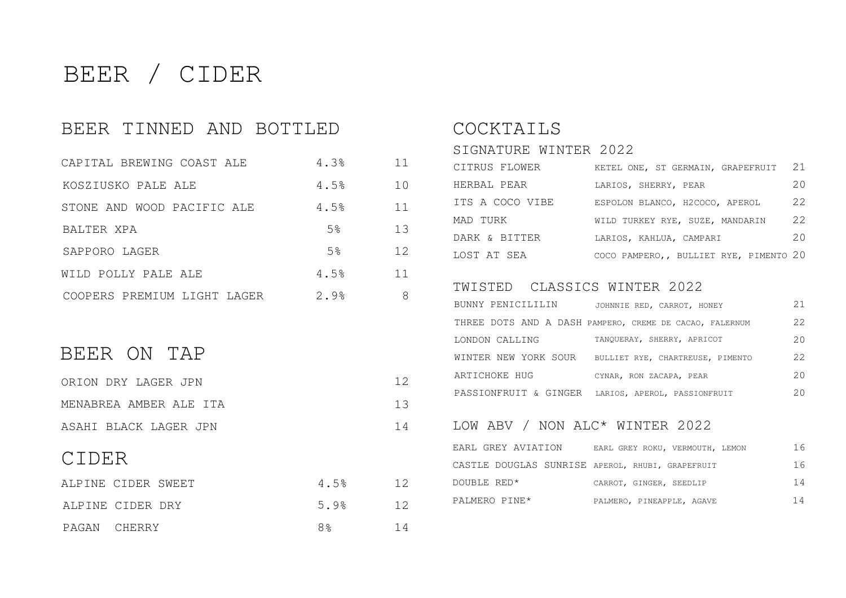# BEER / CIDER

#### BEER TINNED AND BOTTLED

| CAPITAL BREWING COAST ALE   | 4.3% | 11  |
|-----------------------------|------|-----|
| KOSZIUSKO PALE ALE          | 4.5% | 1 O |
| STONE AND WOOD PACIFIC ALE  | 4.5% | 11  |
| BALTER XPA                  | 5%   | 1.3 |
| SAPPORO LAGER               | 5%   | 12. |
| WILD POLLY PALE ALE         | 4.5% | 11  |
| COOPERS PREMIUM LIGHT LAGER | 2.9% | 8   |

#### BEER ON TAP

| ORION DRY LAGER JPN    | 12 |
|------------------------|----|
| MENABREA AMBER ALE ITA | 13 |
| ASAHI BLACK LAGER JPN  | 14 |

### CIDER

| ALPINE CIDER SWEET |  | 4.5%           | 12 |
|--------------------|--|----------------|----|
| ALPINE CIDER DRY   |  | 5.9%           | 12 |
| PAGAN CHERRY       |  | 8 <sup>°</sup> | 14 |

#### COCKTAILS

| SIGNATURE WINTER 2022 |                                        |               |
|-----------------------|----------------------------------------|---------------|
| CITRUS FLOWER         | KETEL ONE, ST GERMAIN, GRAPEFRUIT      | 21            |
| HERBAL PEAR           | LARIOS, SHERRY, PEAR                   | 20            |
| ITS A COCO VIBE       | ESPOLON BLANCO, H2COCO, APEROL         | $2.2^{\circ}$ |
| MAD TURK              | WILD TURKEY RYE, SUZE, MANDARIN        | $2.2^{\circ}$ |
| DARK & BITTER         | LARIOS, KAHLUA, CAMPARI                | 20            |
| LOST AT SEA           | COCO PAMPERO,, BULLIET RYE, PIMENTO 20 |               |

#### TWISTED CLASSICS WINTER 2022

| BUNNY PENICILILIN    | JOHNNIE RED, CARROT, HONEY                              | 21           |
|----------------------|---------------------------------------------------------|--------------|
|                      | THREE DOTS AND A DASH PAMPERO, CREME DE CACAO, FALERNUM | 22           |
| LONDON CALLING       | TANOUERAY, SHERRY, APRICOT                              | $20^{\circ}$ |
| WINTER NEW YORK SOUR | BULLIET RYE, CHARTREUSE, PIMENTO                        | 22           |
| ARTICHOKE HUG        | CYNAR, RON ZACAPA, PEAR                                 | $20^{\circ}$ |
|                      | PASSIONFRUIT & GINGER LARIOS, APEROL, PASSIONFRUIT      | 20           |

#### LOW ABV / NON ALC\* WINTER 2022

| EARL GREY AVIATION                               | EARL GREY ROKU, VERMOUTH, LEMON | 16 |
|--------------------------------------------------|---------------------------------|----|
| CASTLE DOUGLAS SUNRISE APEROL, RHUBI, GRAPEFRUIT |                                 | 16 |
| DOUBLE RED*                                      | CARROT, GINGER, SEEDLIP         | 14 |
| PALMERO PINE*                                    | PALMERO, PINEAPPLE, AGAVE       | 14 |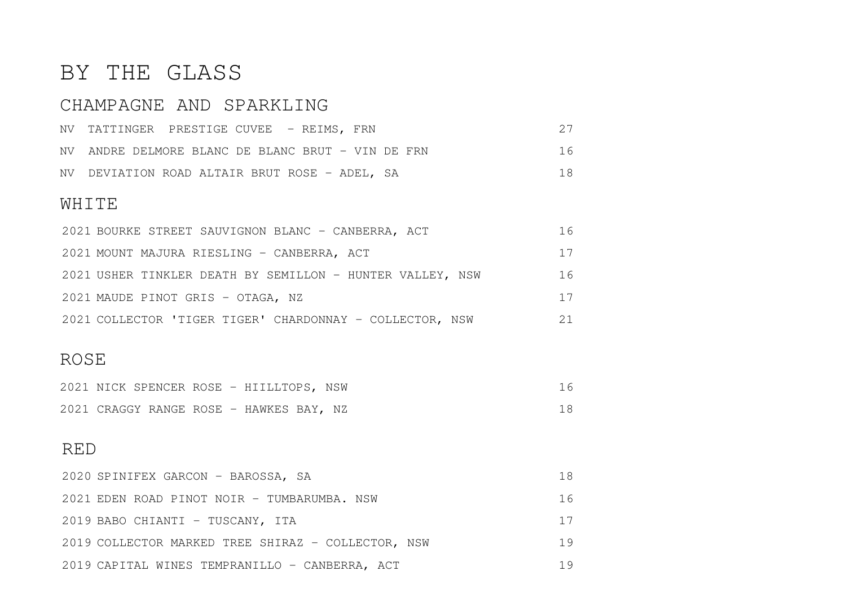## BY THE GLASS

## CHAMPAGNE AND SPARKLING

|  | NV TATTINGER PRESTIGE CUVEE - REIMS, FRN          |    |
|--|---------------------------------------------------|----|
|  | NV ANDRE DELMORE BLANC DE BLANC BRUT - VIN DE FRN | 16 |
|  | NV DEVIATION ROAD ALTAIR BRUT ROSE - ADEL, SA     | 18 |

#### WHITE

| 2021 BOURKE STREET SAUVIGNON BLANC - CANBERRA, ACT        | 16 |
|-----------------------------------------------------------|----|
| 2021 MOUNT MAJURA RIESLING - CANBERRA, ACT                | 17 |
| 2021 USHER TINKLER DEATH BY SEMILLON - HUNTER VALLEY, NSW | 16 |
| 2021 MAUDE PINOT GRIS - OTAGA, NZ                         | 17 |
| 2021 COLLECTOR 'TIGER TIGER' CHARDONNAY - COLLECTOR, NSW  | 21 |

#### ROSE

|  |  | 2021 NICK SPENCER ROSE - HIILLTOPS, NSW |  |  |
|--|--|-----------------------------------------|--|--|
|  |  | 2021 CRAGGY RANGE ROSE - HAWKES BAY, NZ |  |  |

#### RED

| 2020 SPINIFEX GARCON - BAROSSA, SA                 | 18 |
|----------------------------------------------------|----|
| 2021 EDEN ROAD PINOT NOIR - TUMBARUMBA. NSW        | 16 |
| 2019 BABO CHIANTI - TUSCANY, ITA                   | 17 |
| 2019 COLLECTOR MARKED TREE SHIRAZ - COLLECTOR, NSW | 19 |
| 2019 CAPITAL WINES TEMPRANILLO - CANBERRA, ACT     | 19 |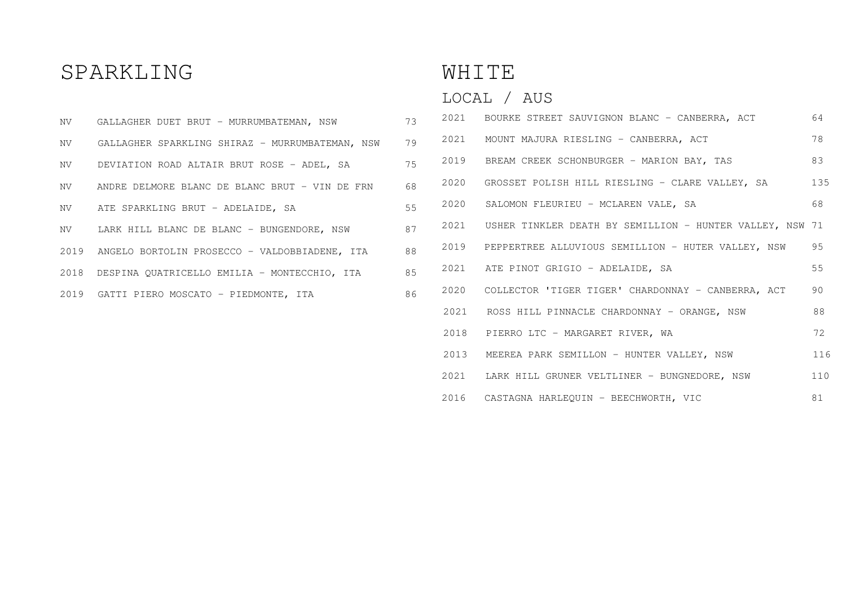## SPARKLING

| NV 11 | GALLAGHER DUET BRUT - MURRUMBATEMAN, NSW           | 73 |
|-------|----------------------------------------------------|----|
| NV    | GALLAGHER SPARKLING SHIRAZ - MURRUMBATEMAN, NSW    | 79 |
| NV    | DEVIATION ROAD ALTAIR BRUT ROSE - ADEL, SA         | 75 |
| NV    | ANDRE DELMORE BLANC DE BLANC BRUT - VIN DE FRN     | 68 |
| NV    | ATE SPARKLING BRUT - ADELAIDE, SA                  | 55 |
|       | NV LARK HILL BLANC DE BLANC - BUNGENDORE, NSW      | 87 |
|       | 2019 ANGELO BORTOLIN PROSECCO - VALDOBBIADENE, ITA | 88 |
|       | 2018 DESPINA QUATRICELLO EMILIA - MONTECCHIO, ITA  | 85 |
|       | 2019 GATTI PIERO MOSCATO - PIEDMONTE, ITA          | 86 |

## WHITE

## LOCAL / AUS

|  | 2021 BOURKE STREET SAUVIGNON BLANC - CANBERRA, ACT            | 64  |
|--|---------------------------------------------------------------|-----|
|  | 2021 MOUNT MAJURA RIESLING - CANBERRA, ACT                    | 78  |
|  | 2019 BREAM CREEK SCHONBURGER - MARION BAY, TAS                | 83  |
|  | 2020 GROSSET POLISH HILL RIESLING - CLARE VALLEY, SA          | 135 |
|  | 2020 SALOMON FLEURIEU - MCLAREN VALE, SA                      | 68  |
|  | 2021 USHER TINKLER DEATH BY SEMILLION - HUNTER VALLEY, NSW 71 |     |
|  | 2019 PEPPERTREE ALLUVIOUS SEMILLION - HUTER VALLEY, NSW       | 95  |
|  | 2021 ATE PINOT GRIGIO - ADELAIDE, SA                          | 55  |
|  | 2020 COLLECTOR 'TIGER TIGER' CHARDONNAY - CANBERRA, ACT       | 90  |
|  | 2021 ROSS HILL PINNACLE CHARDONNAY - ORANGE, NSW              | 88  |
|  | 2018 PIERRO LTC - MARGARET RIVER, WA                          | 72  |
|  | 2013 MEEREA PARK SEMILLON - HUNTER VALLEY, NSW                | 116 |
|  | 2021 LARK HILL GRUNER VELTLINER - BUNGNEDORE, NSW             | 110 |
|  | 2016 CASTAGNA HARLEQUIN - BEECHWORTH, VIC                     | 81  |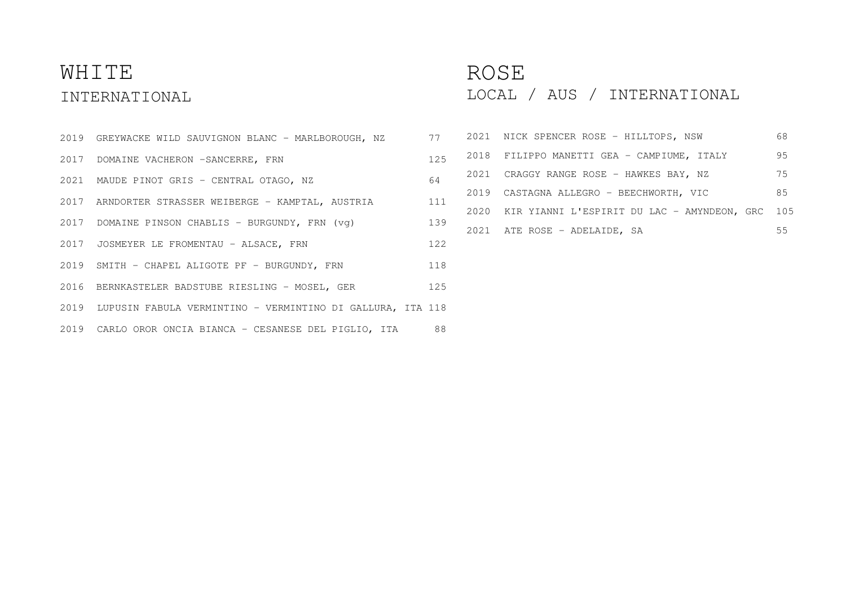## WHITE INTERNATIONAL

- GREYWACKE WILD SAUVIGNON BLANC MARLBOROUGH, NZ 77
- 2017 DOMAINE VACHERON -SANCERRE, FRN
- MAUDE PINOT GRIS CENTRAL OTAGO, NZ 64
- ARNDORTER STRASSER WEIBERGE KAMPTAL, AUSTRIA 111
- 2017 DOMAINE PINSON CHABLIS BURGUNDY, FRN (vg)
- JOSMEYER LE FROMENTAU ALSACE, FRN 122
- 2019 SMITH CHAPEL ALIGOTE PF BURGUNDY, FRN 118
- BERNKASTELER BADSTUBE RIESLING MOSEL, GER 125
- LUPUSIN FABULA VERMINTINO VERMINTINO DI GALLURA, ITA 118
- CARLO OROR ONCIA BIANCA CESANESE DEL PIGLIO, ITA 88

### ROSE

LOCAL / AUS / INTERNATIONAL

|  | 77  |      | 2021 NICK SPENCER ROSE - HILLTOPS, NSW          | 68 |
|--|-----|------|-------------------------------------------------|----|
|  | 125 |      | 2018 FILIPPO MANETTI GEA - CAMPIUME, ITALY      | 95 |
|  | 64  |      | 2021 CRAGGY RANGE ROSE - HAWKES BAY, NZ         | 75 |
|  | 111 |      | 2019 CASTAGNA ALLEGRO - BEECHWORTH, VIC         | 85 |
|  |     | 2020 | KIR YIANNI L'ESPIRIT DU LAC - AMYNDEON, GRC 105 |    |
|  | 139 |      | 2021 ATE ROSE - ADELAIDE, SA                    | 55 |
|  |     |      |                                                 |    |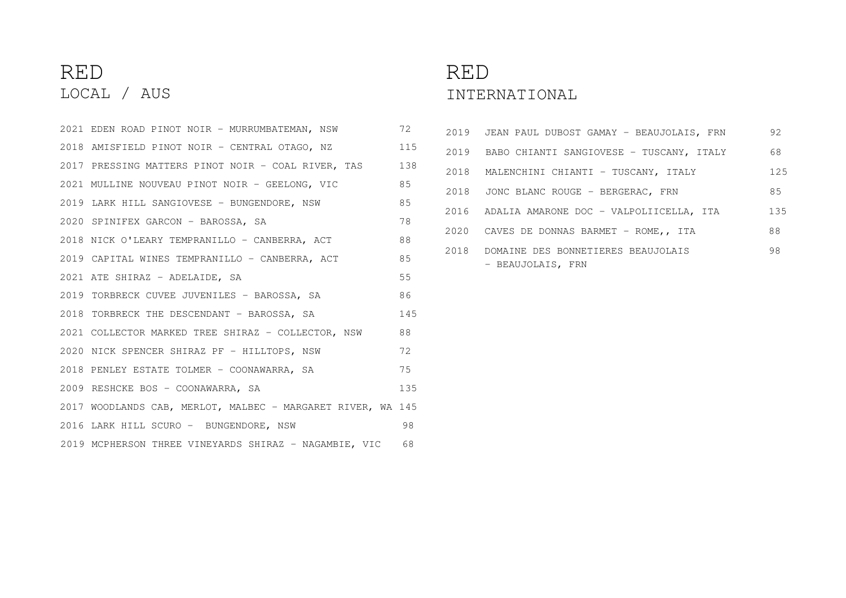## RED LOCAL / AUS

| 2021 EDEN ROAD PINOT NOIR - MURRUMBATEMAN, NSW              | 72  |
|-------------------------------------------------------------|-----|
| 2018 AMISFIELD PINOT NOIR - CENTRAL OTAGO, NZ               | 115 |
| 2017 PRESSING MATTERS PINOT NOIR - COAL RIVER, TAS          | 138 |
| 2021 MULLINE NOUVEAU PINOT NOIR - GEELONG, VIC              | 85  |
| 2019 LARK HILL SANGIOVESE - BUNGENDORE, NSW                 | 85  |
| 2020 SPINIFEX GARCON - BAROSSA, SA                          | 78  |
| 2018 NICK O'LEARY TEMPRANILLO - CANBERRA, ACT               | 88  |
| 2019 CAPITAL WINES TEMPRANILLO - CANBERRA, ACT              | 85  |
| 2021 ATE SHIRAZ - ADELAIDE, SA                              | 55  |
| 2019 TORBRECK CUVEE JUVENILES - BAROSSA, SA                 | 86  |
| 2018 TORBRECK THE DESCENDANT - BAROSSA, SA                  | 145 |
| 2021 COLLECTOR MARKED TREE SHIRAZ - COLLECTOR, NSW          | 88  |
| 2020 NICK SPENCER SHIRAZ PF - HILLTOPS, NSW                 | 72  |
| 2018 PENLEY ESTATE TOLMER - COONAWARRA, SA                  | 75  |
| 2009 RESHCKE BOS - COONAWARRA, SA                           | 135 |
| 2017 WOODLANDS CAB, MERLOT, MALBEC - MARGARET RIVER, WA 145 |     |
| 2016 LARK HILL SCURO - BUNGENDORE, NSW                      | 98  |
| 2019 MCPHERSON THREE VINEYARDS SHIRAZ - NAGAMBIE, VIC 68    |     |

## RED INTERNATIONAL

|      | 2019 JEAN PAUL DUBOST GAMAY - BEAUJOLAIS, FRN           | 92  |
|------|---------------------------------------------------------|-----|
| 2019 | BABO CHIANTI SANGIOVESE - TUSCANY, ITALY                | 68  |
| 2018 | MALENCHINI CHIANTI - TUSCANY, ITALY                     | 125 |
| 2018 | JONC BLANC ROUGE - BERGERAC, FRN                        | 85  |
|      | 2016 ADALIA AMARONE DOC - VALPOLIICELLA, ITA            | 135 |
| 2020 | CAVES DE DONNAS BARMET - ROME,, ITA                     | 88  |
| 2018 | DOMAINE DES BONNETIERES BEAUJOLAIS<br>- BEAUJOLAIS, FRN | 98  |